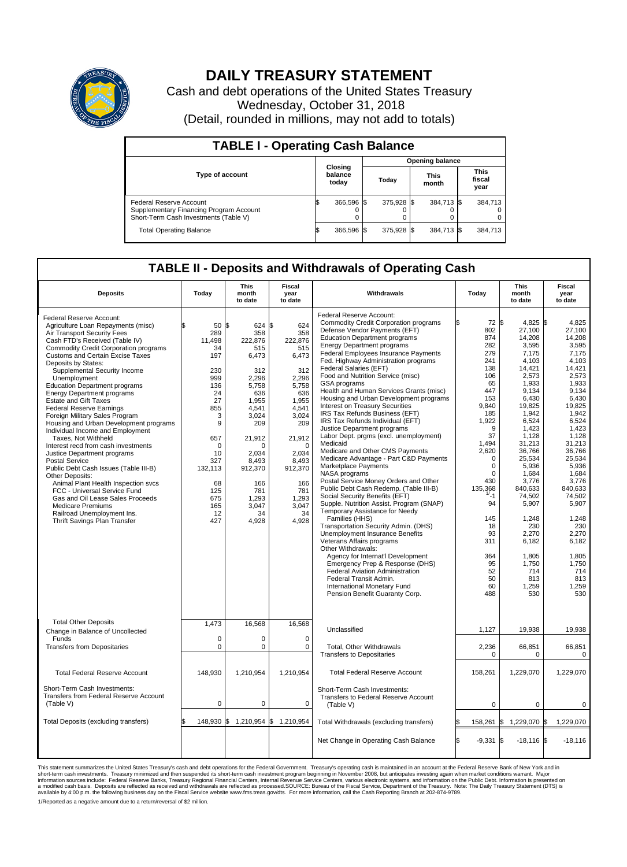

## **DAILY TREASURY STATEMENT**

Cash and debt operations of the United States Treasury Wednesday, October 31, 2018 (Detail, rounded in millions, may not add to totals)

| <b>TABLE I - Operating Cash Balance</b>                                                                     |  |                             |  |                        |  |                      |  |                               |  |  |  |
|-------------------------------------------------------------------------------------------------------------|--|-----------------------------|--|------------------------|--|----------------------|--|-------------------------------|--|--|--|
|                                                                                                             |  |                             |  | <b>Opening balance</b> |  |                      |  |                               |  |  |  |
| <b>Type of account</b>                                                                                      |  | Closing<br>balance<br>today |  | Today                  |  | <b>This</b><br>month |  | <b>This</b><br>fiscal<br>year |  |  |  |
| Federal Reserve Account<br>Supplementary Financing Program Account<br>Short-Term Cash Investments (Table V) |  | 366,596 \$                  |  | 375,928 \$             |  | 384,713 \$           |  | 384,713                       |  |  |  |
| <b>Total Operating Balance</b>                                                                              |  | 366,596 \$                  |  | 375.928 \$             |  | 384,713 \$           |  | 384,713                       |  |  |  |

## **TABLE II - Deposits and Withdrawals of Operating Cash**

|                                                                                                                                                                                                                                                                                                                                                                                                                                                                                                                                                                                                                                                                                                                                                                                                                                                                                                                                                          | <b>This</b><br><b>Fiscal</b>                                                                                                                                                       |                                                                                                                                                                                                              |                                                                                                                                                                                                              |                                                                                                                                                                                                                                                                                                                                                                                                                                                                                                                                                                                                                                                                                                                                                                                                                                                                                                                                                                                                                                                                                                                                                                                                                                                                                                                                       |                                                                                                                                                                                                                                                                            | <b>This</b>                                                                                                                                                                                                                                                                                                                  | <b>Fiscal</b>                                                                                                                                                                                                                                                                                                             |
|----------------------------------------------------------------------------------------------------------------------------------------------------------------------------------------------------------------------------------------------------------------------------------------------------------------------------------------------------------------------------------------------------------------------------------------------------------------------------------------------------------------------------------------------------------------------------------------------------------------------------------------------------------------------------------------------------------------------------------------------------------------------------------------------------------------------------------------------------------------------------------------------------------------------------------------------------------|------------------------------------------------------------------------------------------------------------------------------------------------------------------------------------|--------------------------------------------------------------------------------------------------------------------------------------------------------------------------------------------------------------|--------------------------------------------------------------------------------------------------------------------------------------------------------------------------------------------------------------|---------------------------------------------------------------------------------------------------------------------------------------------------------------------------------------------------------------------------------------------------------------------------------------------------------------------------------------------------------------------------------------------------------------------------------------------------------------------------------------------------------------------------------------------------------------------------------------------------------------------------------------------------------------------------------------------------------------------------------------------------------------------------------------------------------------------------------------------------------------------------------------------------------------------------------------------------------------------------------------------------------------------------------------------------------------------------------------------------------------------------------------------------------------------------------------------------------------------------------------------------------------------------------------------------------------------------------------|----------------------------------------------------------------------------------------------------------------------------------------------------------------------------------------------------------------------------------------------------------------------------|------------------------------------------------------------------------------------------------------------------------------------------------------------------------------------------------------------------------------------------------------------------------------------------------------------------------------|---------------------------------------------------------------------------------------------------------------------------------------------------------------------------------------------------------------------------------------------------------------------------------------------------------------------------|
| <b>Deposits</b>                                                                                                                                                                                                                                                                                                                                                                                                                                                                                                                                                                                                                                                                                                                                                                                                                                                                                                                                          | Today                                                                                                                                                                              | month<br>to date                                                                                                                                                                                             | year<br>to date                                                                                                                                                                                              | Withdrawals                                                                                                                                                                                                                                                                                                                                                                                                                                                                                                                                                                                                                                                                                                                                                                                                                                                                                                                                                                                                                                                                                                                                                                                                                                                                                                                           | Today                                                                                                                                                                                                                                                                      | month<br>to date                                                                                                                                                                                                                                                                                                             | year<br>to date                                                                                                                                                                                                                                                                                                           |
| Federal Reserve Account:<br>Agriculture Loan Repayments (misc)<br>Air Transport Security Fees<br>Cash FTD's Received (Table IV)<br><b>Commodity Credit Corporation programs</b><br><b>Customs and Certain Excise Taxes</b><br>Deposits by States:<br>Supplemental Security Income<br>Unemployment<br><b>Education Department programs</b><br><b>Energy Department programs</b><br><b>Estate and Gift Taxes</b><br><b>Federal Reserve Earnings</b><br>Foreign Military Sales Program<br>Housing and Urban Development programs<br>Individual Income and Employment<br>Taxes, Not Withheld<br>Interest recd from cash investments<br>Justice Department programs<br><b>Postal Service</b><br>Public Debt Cash Issues (Table III-B)<br>Other Deposits:<br>Animal Plant Health Inspection svcs<br>FCC - Universal Service Fund<br>Gas and Oil Lease Sales Proceeds<br><b>Medicare Premiums</b><br>Railroad Unemployment Ins.<br>Thrift Savings Plan Transfer | 50 \$<br>\$.<br>289<br>11,498<br>34<br>197<br>230<br>999<br>136<br>24<br>27<br>855<br>3<br>9<br>657<br>$\mathbf 0$<br>10<br>327<br>132,113<br>68<br>125<br>675<br>165<br>12<br>427 | 624 \$<br>358<br>222,876<br>515<br>6,473<br>312<br>2,296<br>5.758<br>636<br>1,955<br>4,541<br>3.024<br>209<br>21,912<br>$\Omega$<br>2.034<br>8.493<br>912,370<br>166<br>781<br>1,293<br>3,047<br>34<br>4,928 | 624<br>358<br>222,876<br>515<br>6,473<br>312<br>2,296<br>5,758<br>636<br>1,955<br>4,541<br>3,024<br>209<br>21,912<br>$\mathbf 0$<br>2,034<br>8,493<br>912,370<br>166<br>781<br>1,293<br>3,047<br>34<br>4,928 | Federal Reserve Account:<br><b>Commodity Credit Corporation programs</b><br>Defense Vendor Payments (EFT)<br><b>Education Department programs</b><br><b>Energy Department programs</b><br>Federal Employees Insurance Payments<br>Fed. Highway Administration programs<br>Federal Salaries (EFT)<br>Food and Nutrition Service (misc)<br><b>GSA</b> programs<br>Health and Human Services Grants (misc)<br>Housing and Urban Development programs<br>Interest on Treasury Securities<br>IRS Tax Refunds Business (EFT)<br>IRS Tax Refunds Individual (EFT)<br>Justice Department programs<br>Labor Dept. prgms (excl. unemployment)<br>Medicaid<br>Medicare and Other CMS Payments<br>Medicare Advantage - Part C&D Payments<br>Marketplace Payments<br><b>NASA</b> programs<br>Postal Service Money Orders and Other<br>Public Debt Cash Redemp. (Table III-B)<br>Social Security Benefits (EFT)<br>Supple. Nutrition Assist. Program (SNAP)<br>Temporary Assistance for Needy<br>Families (HHS)<br>Transportation Security Admin. (DHS)<br>Unemployment Insurance Benefits<br>Veterans Affairs programs<br>Other Withdrawals:<br>Agency for Internat'l Development<br>Emergency Prep & Response (DHS)<br>Federal Aviation Administration<br>Federal Transit Admin.<br>International Monetary Fund<br>Pension Benefit Guaranty Corp. | 72 \$<br>ß.<br>802<br>874<br>282<br>279<br>241<br>138<br>106<br>65<br>447<br>153<br>9,840<br>185<br>1,922<br>9<br>37<br>1.494<br>2,620<br>$\mathbf 0$<br>0<br>$\Omega$<br>430<br>135,368<br>$1/ - 1$<br>94<br>145<br>18<br>93<br>311<br>364<br>95<br>52<br>50<br>60<br>488 | 4,825 \$<br>27,100<br>14.208<br>3,595<br>7.175<br>4,103<br>14,421<br>2,573<br>1,933<br>9,134<br>6,430<br>19,825<br>1,942<br>6,524<br>1,423<br>1,128<br>31.213<br>36,766<br>25,534<br>5,936<br>1.684<br>3,776<br>840.633<br>74,502<br>5,907<br>1,248<br>230<br>2,270<br>6,182<br>1,805<br>1,750<br>714<br>813<br>1,259<br>530 | 4,825<br>27,100<br>14.208<br>3,595<br>7.175<br>4,103<br>14,421<br>2.573<br>1.933<br>9,134<br>6,430<br>19,825<br>1,942<br>6,524<br>1,423<br>1,128<br>31,213<br>36,766<br>25,534<br>5,936<br>1.684<br>3,776<br>840.633<br>74,502<br>5,907<br>1,248<br>230<br>2,270<br>6,182<br>1,805<br>1,750<br>714<br>813<br>1,259<br>530 |
| <b>Total Other Deposits</b><br>Change in Balance of Uncollected<br>Funds<br><b>Transfers from Depositaries</b>                                                                                                                                                                                                                                                                                                                                                                                                                                                                                                                                                                                                                                                                                                                                                                                                                                           | 1,473<br>0<br>$\mathbf 0$                                                                                                                                                          | 16,568<br>$\mathbf 0$<br>$\mathbf 0$                                                                                                                                                                         | 16,568<br>$\mathbf 0$<br>$\mathbf 0$                                                                                                                                                                         | Unclassified<br>Total, Other Withdrawals<br>Transfers to Depositaries                                                                                                                                                                                                                                                                                                                                                                                                                                                                                                                                                                                                                                                                                                                                                                                                                                                                                                                                                                                                                                                                                                                                                                                                                                                                 | 1,127<br>2,236<br>$\Omega$                                                                                                                                                                                                                                                 | 19,938<br>66,851<br>$\Omega$                                                                                                                                                                                                                                                                                                 | 19,938<br>66,851<br>$\mathbf 0$                                                                                                                                                                                                                                                                                           |
| <b>Total Federal Reserve Account</b>                                                                                                                                                                                                                                                                                                                                                                                                                                                                                                                                                                                                                                                                                                                                                                                                                                                                                                                     | 148,930                                                                                                                                                                            | 1,210,954                                                                                                                                                                                                    | 1,210,954                                                                                                                                                                                                    | <b>Total Federal Reserve Account</b>                                                                                                                                                                                                                                                                                                                                                                                                                                                                                                                                                                                                                                                                                                                                                                                                                                                                                                                                                                                                                                                                                                                                                                                                                                                                                                  | 158,261                                                                                                                                                                                                                                                                    | 1,229,070                                                                                                                                                                                                                                                                                                                    | 1,229,070                                                                                                                                                                                                                                                                                                                 |
| Short-Term Cash Investments:<br><b>Transfers from Federal Reserve Account</b><br>(Table V)                                                                                                                                                                                                                                                                                                                                                                                                                                                                                                                                                                                                                                                                                                                                                                                                                                                               | $\mathbf 0$                                                                                                                                                                        | 0                                                                                                                                                                                                            | 0                                                                                                                                                                                                            | Short-Term Cash Investments:<br>Transfers to Federal Reserve Account<br>(Table V)                                                                                                                                                                                                                                                                                                                                                                                                                                                                                                                                                                                                                                                                                                                                                                                                                                                                                                                                                                                                                                                                                                                                                                                                                                                     | $\mathbf 0$                                                                                                                                                                                                                                                                | $\mathbf 0$                                                                                                                                                                                                                                                                                                                  | 0                                                                                                                                                                                                                                                                                                                         |
| Total Deposits (excluding transfers)                                                                                                                                                                                                                                                                                                                                                                                                                                                                                                                                                                                                                                                                                                                                                                                                                                                                                                                     | 148,930 \$                                                                                                                                                                         | 1,210,954 \$                                                                                                                                                                                                 | 1,210,954                                                                                                                                                                                                    | Total Withdrawals (excluding transfers)                                                                                                                                                                                                                                                                                                                                                                                                                                                                                                                                                                                                                                                                                                                                                                                                                                                                                                                                                                                                                                                                                                                                                                                                                                                                                               | 158,261                                                                                                                                                                                                                                                                    | 1,229,070 \$<br>l\$                                                                                                                                                                                                                                                                                                          | 1,229,070                                                                                                                                                                                                                                                                                                                 |
|                                                                                                                                                                                                                                                                                                                                                                                                                                                                                                                                                                                                                                                                                                                                                                                                                                                                                                                                                          |                                                                                                                                                                                    |                                                                                                                                                                                                              |                                                                                                                                                                                                              | Net Change in Operating Cash Balance                                                                                                                                                                                                                                                                                                                                                                                                                                                                                                                                                                                                                                                                                                                                                                                                                                                                                                                                                                                                                                                                                                                                                                                                                                                                                                  | l\$<br>$-9,331$                                                                                                                                                                                                                                                            | 1\$<br>$-18,116$ \$                                                                                                                                                                                                                                                                                                          | $-18,116$                                                                                                                                                                                                                                                                                                                 |

This statement summarizes the United States Treasury's cash and debt operations for the Federal Government. Treasury soperating in November 2008, but anticiarded in a cocount at the Federal Reserve Bank of New York and in<br> 1/Reported as a negative amount due to a return/reversal of \$2 million.